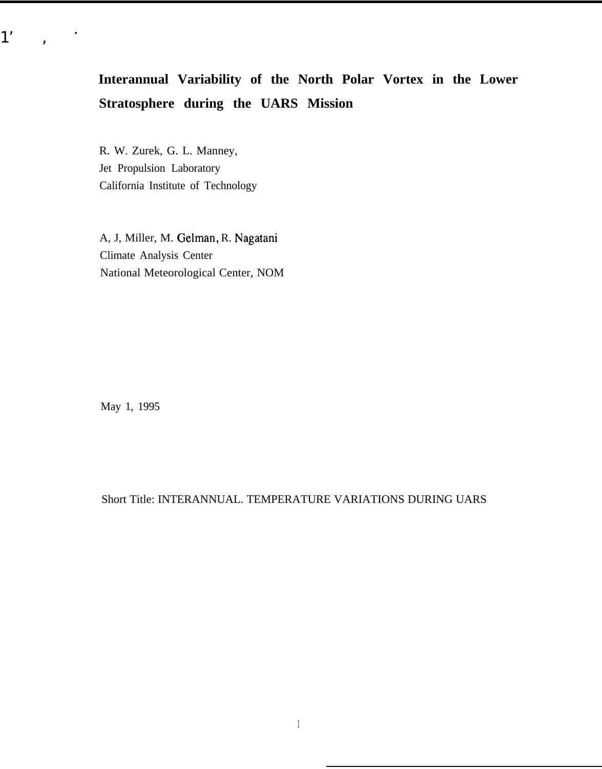# **Interannual Variability of the North Polar Vortex in the Lower Stratosphere during the UARS Mission**

R. W. Zurek, G. L. Manney, Jet Propulsion Laboratory California Institute of Technology

A, J, Miller, M. Gelman, R. Nagatani Climate Analysis Center National Meteorological Center, NOM

May 1, 1995

 $1'$ ,  $\cdot$ 

Short Title: INTERANNUAL. TEMPERATURE VARIATIONS DURING UARS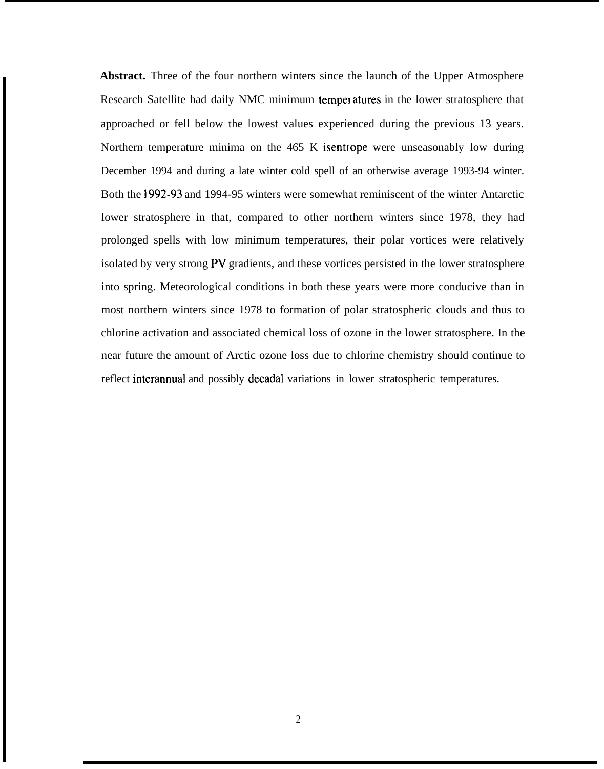**Abstract.** Three of the four northern winters since the launch of the Upper Atmosphere Research Satellite had daily NMC minimum temperatures in the lower stratosphere that approached or fell below the lowest values experienced during the previous 13 years. Northern temperature minima on the 465 K isentrope were unseasonably low during December 1994 and during a late winter cold spell of an otherwise average 1993-94 winter. Both the 1992-93 and 1994-95 winters were somewhat reminiscent of the winter Antarctic lower stratosphere in that, compared to other northern winters since 1978, they had prolonged spells with low minimum temperatures, their polar vortices were relatively isolated by very strong PV gradients, and these vortices persisted in the lower stratosphere into spring. Meteorological conditions in both these years were more conducive than in most northern winters since 1978 to formation of polar stratospheric clouds and thus to chlorine activation and associated chemical loss of ozone in the lower stratosphere. In the near future the amount of Arctic ozone loss due to chlorine chemistry should continue to reflect interannual and possibly decadal variations in lower stratospheric temperatures.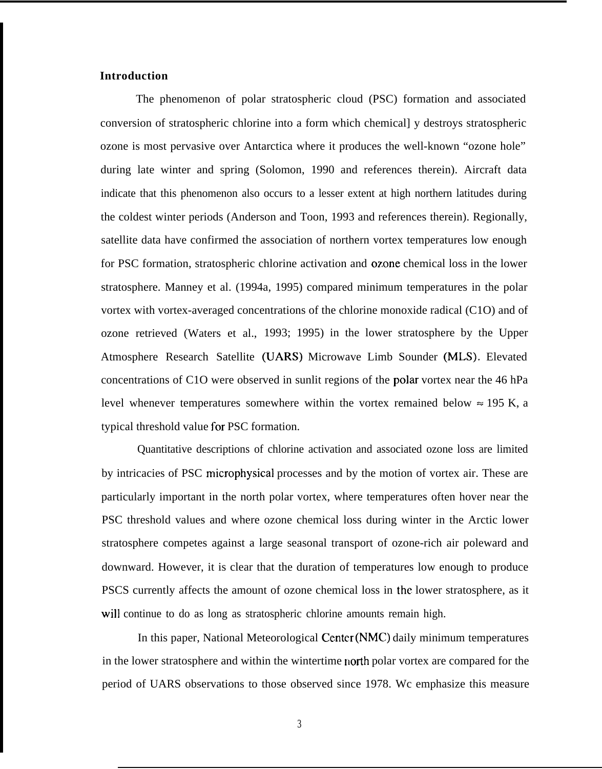## **Introduction**

The phenomenon of polar stratospheric cloud (PSC) formation and associated conversion of stratospheric chlorine into a form which chemical] y destroys stratospheric ozone is most pervasive over Antarctica where it produces the well-known "ozone hole" during late winter and spring (Solomon, 1990 and references therein). Aircraft data indicate that this phenomenon also occurs to a lesser extent at high northern latitudes during the coldest winter periods (Anderson and Toon, 1993 and references therein). Regionally, satellite data have confirmed the association of northern vortex temperatures low enough for PSC formation, stratospheric chlorine activation and ozone chemical loss in the lower stratosphere. Manney et al. (1994a, 1995) compared minimum temperatures in the polar vortex with vortex-averaged concentrations of the chlorine monoxide radical (C1O) and of ozone retrieved (Waters et al., 1993; 1995) in the lower stratosphere by the Upper Atmosphere Research Satellite (UARS) Microwave Limb Sounder (MLS). Elevated concentrations of C1O were observed in sunlit regions of the polar vortex near the 46 hPa level whenever temperatures somewhere within the vortex remained below  $\approx 195$  K, a typical threshold value for PSC formation.

Quantitative descriptions of chlorine activation and associated ozone loss are limited by intricacies of PSC microphysical processes and by the motion of vortex air. These are particularly important in the north polar vortex, where temperatures often hover near the PSC threshold values and where ozone chemical loss during winter in the Arctic lower stratosphere competes against a large seasonal transport of ozone-rich air poleward and downward. However, it is clear that the duration of temperatures low enough to produce PSCS currently affects the amount of ozone chemical loss in the lower stratosphere, as it will continue to do as long as stratospheric chlorine amounts remain high.

In this paper, National Meteorological Center (NMC) daily minimum temperatures in the lower stratosphere and within the wintertime north polar vortex are compared for the period of UARS observations to those observed since 1978. Wc emphasize this measure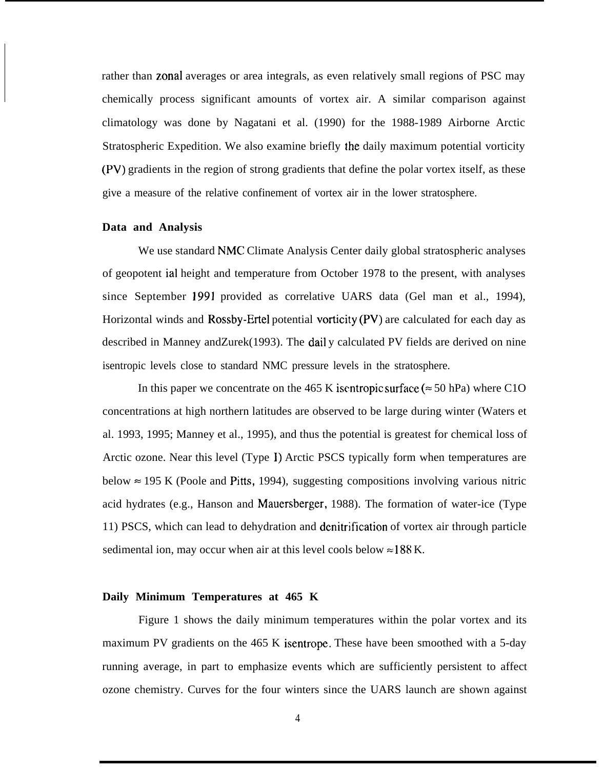rather than zonal averages or area integrals, as even relatively small regions of PSC may chemically process significant amounts of vortex air. A similar comparison against climatology was done by Nagatani et al. (1990) for the 1988-1989 Airborne Arctic Stratospheric Expedition. We also examine briefly the daily maximum potential vorticity (PV) gradients in the region of strong gradients that define the polar vortex itself, as these give a measure of the relative confinement of vortex air in the lower stratosphere.

### **Data and Analysis**

We use standard NMC Climate Analysis Center daily global stratospheric analyses of geopotent ial height and temperature from October 1978 to the present, with analyses since September 1991 provided as correlative UARS data (Gel man et al., 1994), Horizontal winds and Rossby-Ertel potential vorticity (PV) are calculated for each day as described in Manney andZurek(1993). The dail y calculated PV fields are derived on nine isentropic levels close to standard NMC pressure levels in the stratosphere.

In this paper we concentrate on the 465 K isentropic surface ( $\approx$  50 hPa) where C1O concentrations at high northern latitudes are observed to be large during winter (Waters et al. 1993, 1995; Manney et al., 1995), and thus the potential is greatest for chemical loss of Arctic ozone. Near this level (Type 1) Arctic PSCS typically form when temperatures are below  $\approx$  195 K (Poole and Pitts, 1994), suggesting compositions involving various nitric acid hydrates (e.g., Hanson and Mauersberger, 1988). The formation of water-ice (Type 11) PSCS, which can lead to dehydration and denitrification of vortex air through particle sedimental ion, may occur when air at this level cools below  $\approx$  188 K.

#### **Daily Minimum Temperatures at 465 K**

Figure 1 shows the daily minimum temperatures within the polar vortex and its maximum PV gradients on the 465 K isentrope. These have been smoothed with a 5-day running average, in part to emphasize events which are sufficiently persistent to affect ozone chemistry. Curves for the four winters since the UARS launch are shown against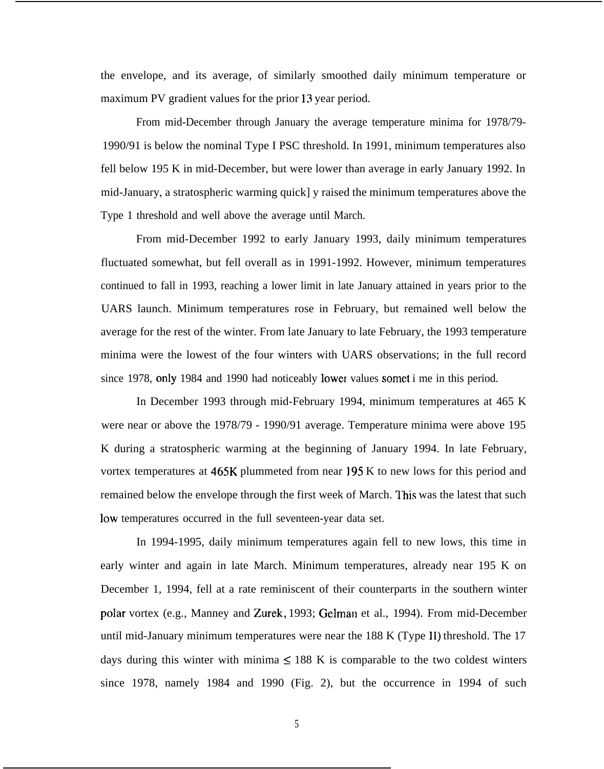the envelope, and its average, of similarly smoothed daily minimum temperature or maximum PV gradient values for the prior 13 year period.

From mid-December through January the average temperature minima for 1978/79- 1990/91 is below the nominal Type I PSC threshold. In 1991, minimum temperatures also fell below 195 K in mid-December, but were lower than average in early January 1992. In mid-January, a stratospheric warming quick] y raised the minimum temperatures above the Type 1 threshold and well above the average until March.

From mid-December 1992 to early January 1993, daily minimum temperatures fluctuated somewhat, but fell overall as in 1991-1992. However, minimum temperatures continued to fall in 1993, reaching a lower limit in late January attained in years prior to the UARS launch. Minimum temperatures rose in February, but remained well below the average for the rest of the winter. From late January to late February, the 1993 temperature minima were the lowest of the four winters with UARS observations; in the full record since 1978, only 1984 and 1990 had noticeably lower values somet i me in this period.

In December 1993 through mid-February 1994, minimum temperatures at 465 K were near or above the 1978/79 - 1990/91 average. Temperature minima were above 195 K during a stratospheric warming at the beginning of January 1994. In late February, vortex temperatures at 465K plummeted from near 195 K to new lows for this period and remained below the envelope through the first week of March. This was the latest that such low temperatures occurred in the full seventeen-year data set.

In 1994-1995, daily minimum temperatures again fell to new lows, this time in early winter and again in late March. Minimum temperatures, already near 195 K on December 1, 1994, fell at a rate reminiscent of their counterparts in the southern winter polar vortex (e.g., Manney and Zurek, 1993; Gelman et al., 1994). From mid-December until mid-January minimum temperatures were near the 188 K (Type 11) threshold. The 17 days during this winter with minima  $\leq 188$  K is comparable to the two coldest winters since 1978, namely 1984 and 1990 (Fig. 2), but the occurrence in 1994 of such

5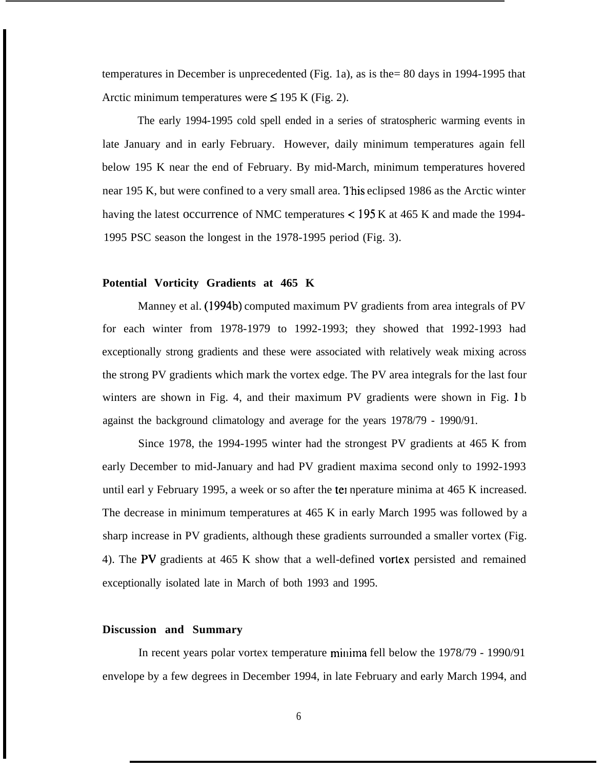temperatures in December is unprecedented (Fig. 1a), as is the= 80 days in 1994-1995 that Arctic minimum temperatures were  $\leq$  195 K (Fig. 2).

The early 1994-1995 cold spell ended in a series of stratospheric warming events in late January and in early February. However, daily minimum temperatures again fell below 195 K near the end of February. By mid-March, minimum temperatures hovered near 195 K, but were confined to a very small area. This eclipsed 1986 as the Arctic winter having the latest occurrence of NMC temperatures  $<$  195 K at 465 K and made the 1994-1995 PSC season the longest in the 1978-1995 period (Fig. 3).

## **Potential Vorticity Gradients at 465 K**

Manney et al. (1994b) computed maximum PV gradients from area integrals of PV for each winter from 1978-1979 to 1992-1993; they showed that 1992-1993 had exceptionally strong gradients and these were associated with relatively weak mixing across the strong PV gradients which mark the vortex edge. The PV area integrals for the last four winters are shown in Fig. 4, and their maximum PV gradients were shown in Fig. 1 b against the background climatology and average for the years 1978/79 - 1990/91.

Since 1978, the 1994-1995 winter had the strongest PV gradients at 465 K from early December to mid-January and had PV gradient maxima second only to 1992-1993 until earl y February 1995, a week or so after the tel nperature minima at 465 K increased. The decrease in minimum temperatures at 465 K in early March 1995 was followed by a sharp increase in PV gradients, although these gradients surrounded a smaller vortex (Fig. 4). The PV gradients at 465 K show that a well-defined vortex persisted and remained exceptionally isolated late in March of both 1993 and 1995.

## **Discussion and Summary**

In recent years polar vortex temperature minima fell below the  $1978/79$  - 1990/91 envelope by a few degrees in December 1994, in late February and early March 1994, and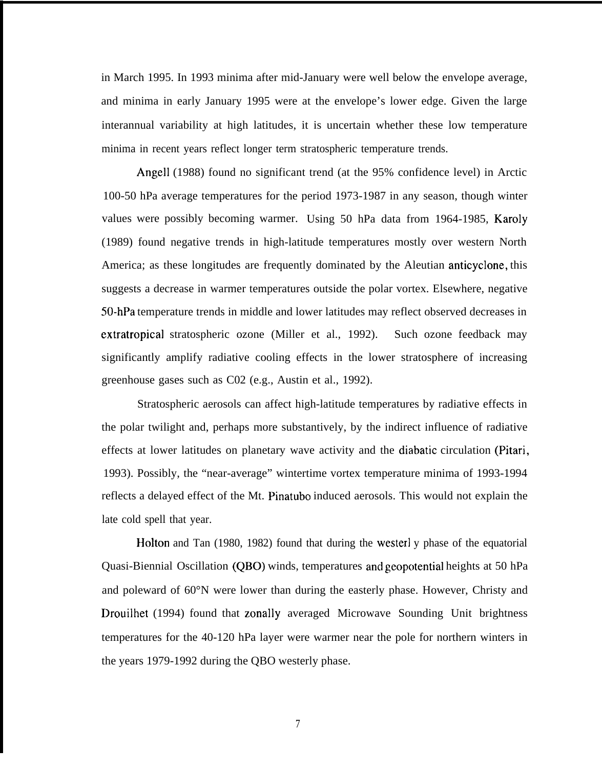in March 1995. In 1993 minima after mid-January were well below the envelope average, and minima in early January 1995 were at the envelope's lower edge. Given the large interannual variability at high latitudes, it is uncertain whether these low temperature minima in recent years reflect longer term stratospheric temperature trends.

Angell (1988) found no significant trend (at the 95% confidence level) in Arctic 100-50 hPa average temperatures for the period 1973-1987 in any season, though winter values were possibly becoming warmer. Using 50 hPa data from 1964-1985, Karoly (1989) found negative trends in high-latitude temperatures mostly over western North America; as these longitudes are frequently dominated by the Aleutian anticyclone, this suggests a decrease in warmer temperatures outside the polar vortex. Elsewhere, negative 50-hPa temperature trends in middle and lower latitudes may reflect observed decreases in extratropical stratospheric ozone (Miller et al., 1992). Such ozone feedback may significantly amplify radiative cooling effects in the lower stratosphere of increasing greenhouse gases such as C02 (e.g., Austin et al., 1992).

Stratospheric aerosols can affect high-latitude temperatures by radiative effects in the polar twilight and, perhaps more substantively, by the indirect influence of radiative effects at lower latitudes on planetary wave activity and the diabatic circulation (Pitari, 1993). Possibly, the "near-average" wintertime vortex temperature minima of 1993-1994 reflects a delayed effect of the Mt. Pinatubo induced aerosols. This would not explain the late cold spell that year.

Holton and Tan (1980, 1982) found that during the westerl y phase of the equatorial Quasi-Biennial Oscillation (QBO) winds, temperatures and geopotential heights at 50 hPa and poleward of 60°N were lower than during the easterly phase. However, Christy and Drouilhet (1994) found that zonally averaged Microwave Sounding Unit brightness temperatures for the 40-120 hPa layer were warmer near the pole for northern winters in the years 1979-1992 during the QBO westerly phase.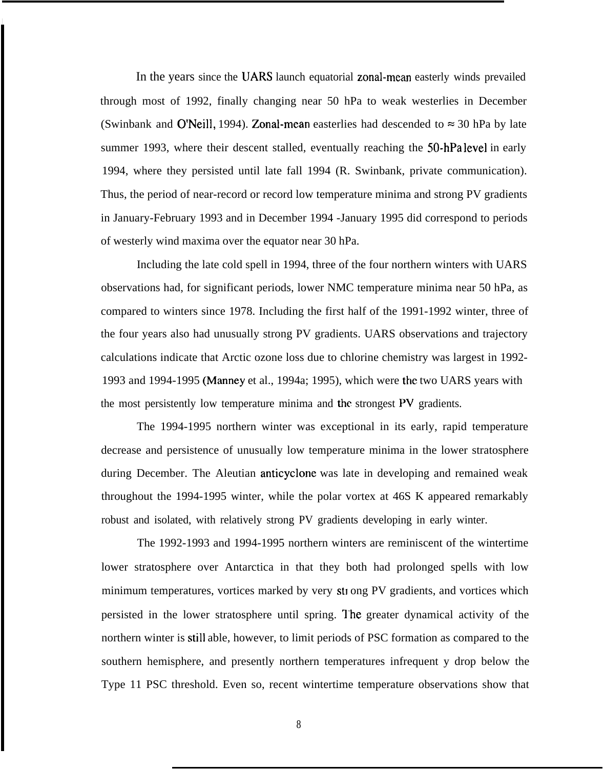In the years since the UARS launch equatorial zonal-mean easterly winds prevailed through most of 1992, finally changing near 50 hPa to weak westerlies in December (Swinbank and O'Neill, 1994). Zonal-mean easterlies had descended to  $\approx 30$  hPa by late summer 1993, where their descent stalled, eventually reaching the 50-hPa level in early 1994, where they persisted until late fall 1994 (R. Swinbank, private communication). Thus, the period of near-record or record low temperature minima and strong PV gradients in January-February 1993 and in December 1994 -January 1995 did correspond to periods of westerly wind maxima over the equator near 30 hPa.

Including the late cold spell in 1994, three of the four northern winters with UARS observations had, for significant periods, lower NMC temperature minima near 50 hPa, as compared to winters since 1978. Including the first half of the 1991-1992 winter, three of the four years also had unusually strong PV gradients. UARS observations and trajectory calculations indicate that Arctic ozone loss due to chlorine chemistry was largest in 1992- 1993 and 1994-1995 (Manney et al., 1994a; 1995), which were the two UARS years with the most persistently low temperature minima and the strongest PV gradients.

The 1994-1995 northern winter was exceptional in its early, rapid temperature decrease and persistence of unusually low temperature minima in the lower stratosphere during December. The Aleutian anticyclone was late in developing and remained weak throughout the 1994-1995 winter, while the polar vortex at 46S K appeared remarkably robust and isolated, with relatively strong PV gradients developing in early winter.

The 1992-1993 and 1994-1995 northern winters are reminiscent of the wintertime lower stratosphere over Antarctica in that they both had prolonged spells with low minimum temperatures, vortices marked by very sti ong PV gradients, and vortices which persisted in the lower stratosphere until spring. The greater dynamical activity of the northern winter is still able, however, to limit periods of PSC formation as compared to the southern hemisphere, and presently northern temperatures infrequent y drop below the Type 11 PSC threshold. Even so, recent wintertime temperature observations show that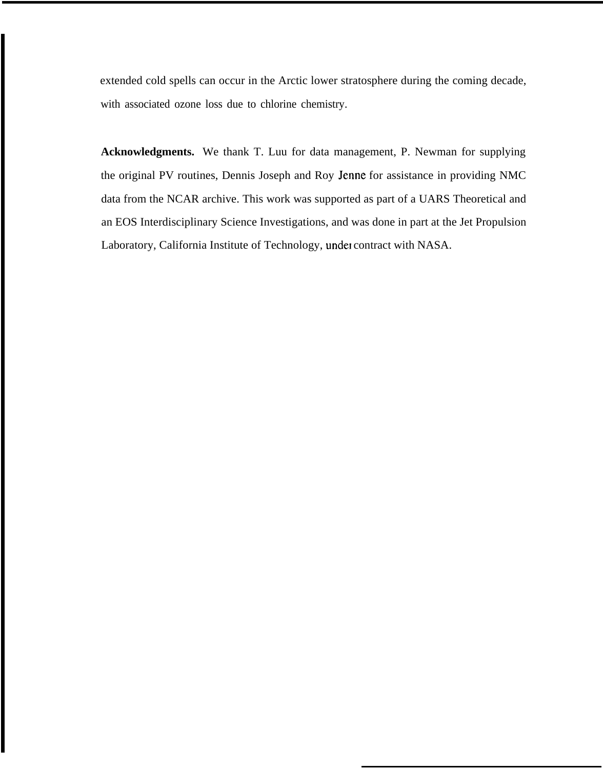extended cold spells can occur in the Arctic lower stratosphere during the coming decade, with associated ozone loss due to chlorine chemistry.

**Acknowledgments.** We thank T. Luu for data management, P. Newman for supplying the original PV routines, Dennis Joseph and Roy Jenne for assistance in providing NMC data from the NCAR archive. This work was supported as part of a UARS Theoretical and an EOS Interdisciplinary Science Investigations, and was done in part at the Jet Propulsion Laboratory, California Institute of Technology, under contract with NASA.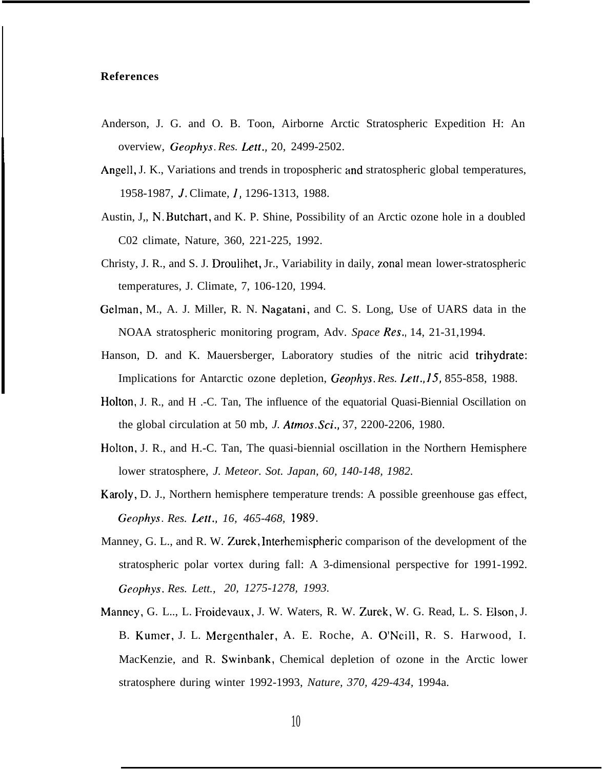#### **References**

**I**

- Anderson, J. G. and O. B. Toon, Airborne Arctic Stratospheric Expedition H: An overview, *Geophys. Res. Lett.,* 20, 2499-2502.
- Angell, J. K., Variations and trends in tropospheric and stratospheric global temperatures, 1958-1987, J. Climate, 1, 1296-1313, 1988.
- Austin, J,, N. Butchart, and K. P. Shine, Possibility of an Arctic ozone hole in a doubled C02 climate, Nature, 360, 221-225, 1992.
- Christy, J. R., and S. J. Droulihet, Jr., Variability in daily, zonal mean lower-stratospheric temperatures, J. Climate, 7, 106-120, 1994.
- Gelman, M., A. J. Miller, R. N. Nagatani, and C. S. Long, Use of UARS data in the NOAA stratospheric monitoring program, Adv. *Space Res.,* 14, 21-31,1994.
- Hanson, D. and K. Mauersberger, Laboratory studies of the nitric acid trihydrate: Implications for Antarctic ozone depletion, Geophys. *Res. Left.,* 15, 855-858, 1988.
- Holton, J. R., and H .-C. Tan, The influence of the equatorial Quasi-Biennial Oscillation on the global circulation at 50 mb, *J. Atmos. Sci.,* 37, 2200-2206, 1980.
- Holton, J. R., and H.-C. Tan, The quasi-biennial oscillation in the Northern Hemisphere lower stratosphere, *J. Meteor. Sot. Japan, 60, 140-148, 1982.*
- Karoly, D. J., Northern hemisphere temperature trends: A possible greenhouse gas effect, *Geophys. Res. Lett., 16, 465-468, 1989.*
- Manney, G. L., and R. W. Zurek, Interhemispheric comparison of the development of the stratospheric polar vortex during fall: A 3-dimensional perspective for 1991-1992. *Geophys. Res. Lett., 20, 1275-1278, 1993.*
- Manney, G. L.., L. Froidevaux, J. W. Waters, R. W. Zurek, W. G. Read, L. S. Elson, J. B. Kumer, J. L. Mergenthaler, A. E. Roche, A. O'Ncill, R. S. Harwood, I. MacKenzie, and R. Swinbank, Chemical depletion of ozone in the Arctic lower stratosphere during winter 1992-1993, *Nature, 370, 429-434,* 1994a.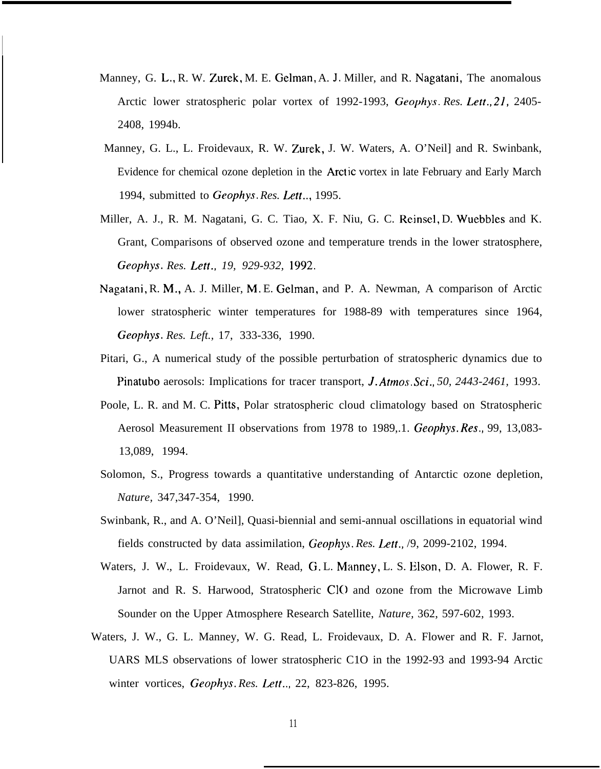Manney, G. L,, R. W. Zurek, M. E. Gelman, A. J. Miller, and R. Nagatani, The anomalous Arctic lower stratospheric polar vortex of 1992-1993, *Geophys. Res. Left.,* 2], 2405- 2408, 1994b.

I

- Manney, G. L., L. Froidevaux, R. W. Zurek, J. W. Waters, A. O'Neil] and R. Swinbank, Evidence for chemical ozone depletion in the Arct ic vortex in late February and Early March 1994, submitted to *Geophys. Res. Lett..,* 1995.
- Miller, A. J., R. M. Nagatani, G. C. Tiao, X. F. Niu, G. C. Rcinsel, D. Wuebbles and K. Grant, Comparisons of observed ozone and temperature trends in the lower stratosphere, *Geophys. Res. Lett., 19, 929-932, 1992.*
- Nagatani, R. M,, A. J. Miller, M, E. Gelman, and P. A. Newman, A comparison of Arctic lower stratospheric winter temperatures for 1988-89 with temperatures since 1964, *Geophys. Res. Left.,* 17, 333-336, 1990.
- Pitari, G., A numerical study of the possible perturbation of stratospheric dynamics due to Pinatubo aerosols: Implications for tracer transport, *J. Atmos. Sci., 50, 2443-2461,* 1993.
- Poole, L. R. and M. C. Pitts, Polar stratospheric cloud climatology based on Stratospheric Aerosol Measurement II observations from 1978 to 1989,.1. *Geophys. Res.,* 99, 13,083- 13,089, 1994.
- Solomon, S., Progress towards a quantitative understanding of Antarctic ozone depletion, *Nature,* 347,347-354, 1990.
- Swinbank, R., and A. O'Neil], Quasi-biennial and semi-annual oscillations in equatorial wind fields constructed by data assimilation, *Geophys. Res. Lat.,* /9, 2099-2102, 1994.
- Waters, J. W., L. Froidevaux, W. Read, G. L. Manney, L. S. Elson, D. A. Flower, R. F. Jarnot and R. S. Harwood, Stratospheric CIO and ozone from the Microwave Limb Sounder on the Upper Atmosphere Research Satellite, *Nature,* 362, 597-602, 1993.
- Waters, J. W., G. L. Manney, W. G. Read, L. Froidevaux, D. A. Flower and R. F. Jarnot, UARS MLS observations of lower stratospheric C1O in the 1992-93 and 1993-94 Arctic winter vortices, *Geophys. Res. Lett..,* 22, 823-826, 1995.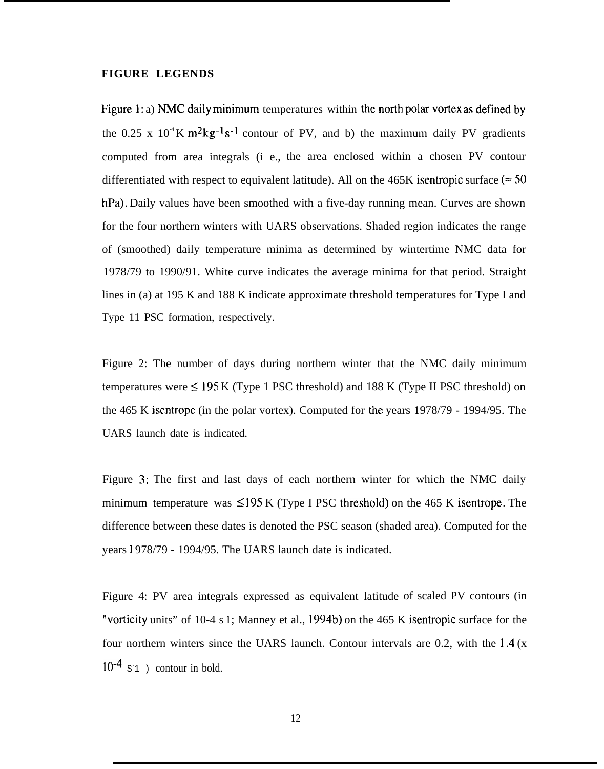#### **FIGURE LEGENDS**

Figure 1: a) NMC daily minimum temperatures within the north polar vortex as defined by the 0.25 x  $10^{-4}$ K m<sup>2</sup>kg<sup>-1</sup>s<sup>-1</sup> contour of PV, and b) the maximum daily PV gradients computed from area integrals (i e., the area enclosed within a chosen PV contour differentiated with respect to equivalent latitude). All on the 465K isentropic surface ( $\approx$  50 hPa). Daily values have been smoothed with a five-day running mean. Curves are shown for the four northern winters with UARS observations. Shaded region indicates the range of (smoothed) daily temperature minima as determined by wintertime NMC data for 1978/79 to 1990/91. White curve indicates the average minima for that period. Straight lines in (a) at 195 K and 188 K indicate approximate threshold temperatures for Type I and Type 11 PSC formation, respectively.

Figure 2: The number of days during northern winter that the NMC daily minimum temperatures were  $\leq$  195 K (Type 1 PSC threshold) and 188 K (Type II PSC threshold) on the 465 K isentrope (in the polar vortex). Computed for the years 1978/79 - 1994/95. The UARS launch date is indicated.

Figure 3: The first and last days of each northern winter for which the NMC daily minimum temperature was  $\leq$ 195 K (Type I PSC threshold) on the 465 K isentrope. The difference between these dates is denoted the PSC season (shaded area). Computed for the years ] 978/79 - 1994/95. The UARS launch date is indicated.

Figure 4: PV area integrals expressed as equivalent latitude of scaled PV contours (in "vorticity units" of 10-4 s1; Manney et al., 1994b) on the 465 K isentropic surface for the four northern winters since the UARS launch. Contour intervals are 0.2, with the  $1.4(x)$  $10^{-4}$  s<sup>1</sup> ) contour in bold.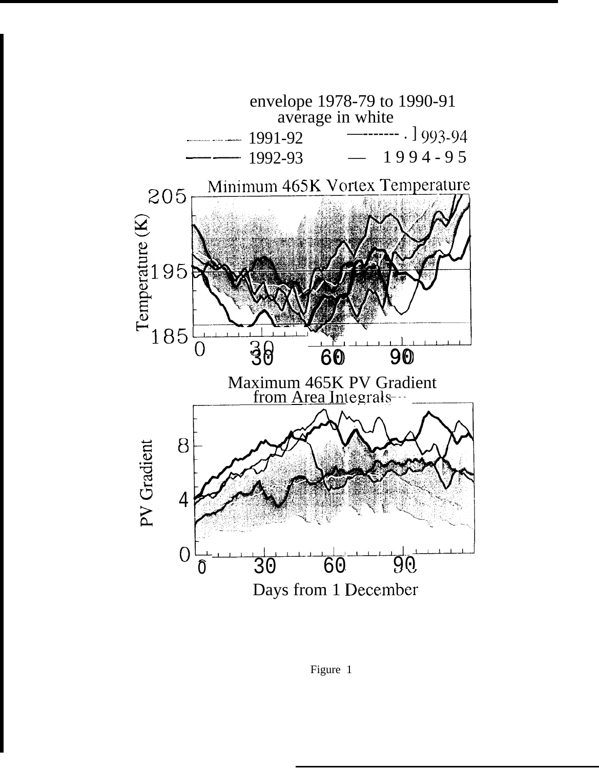

Figure 1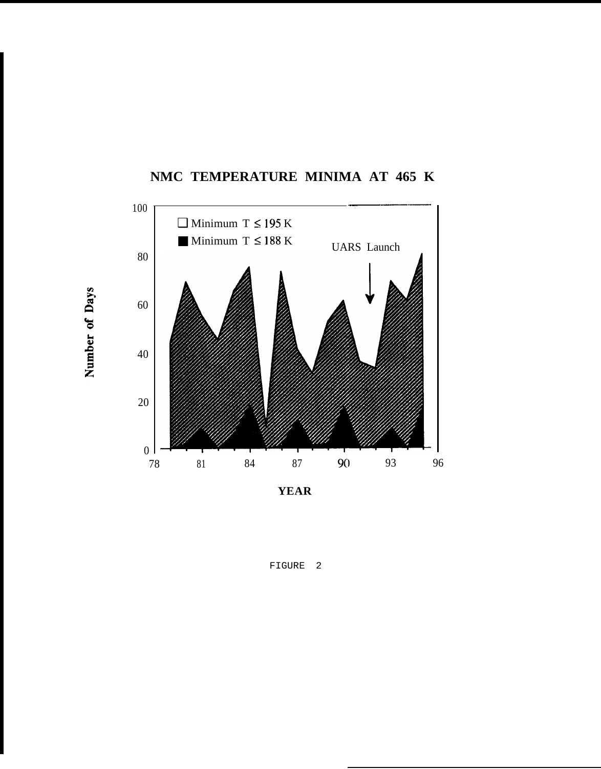

NMC TEMPERATURE MINIMA AT 465 K

FIGURE 2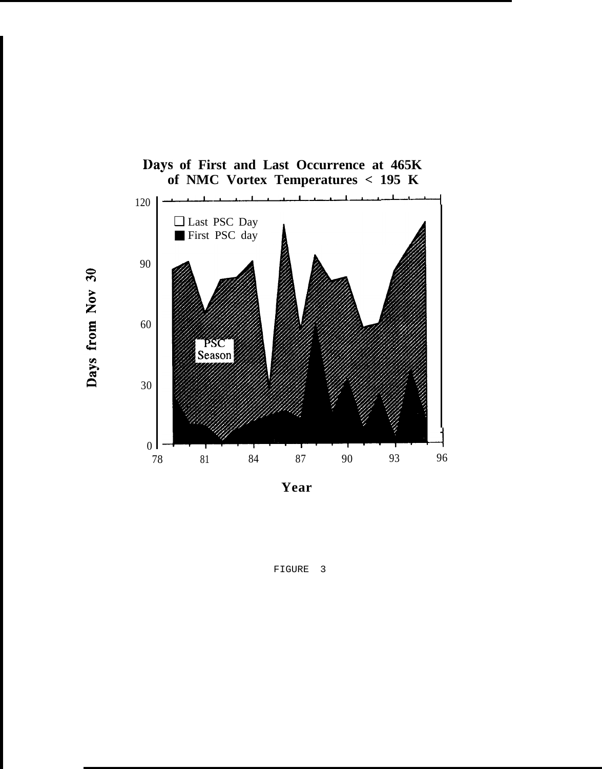

Days from Nov 30

**Year**

FIGURE 3